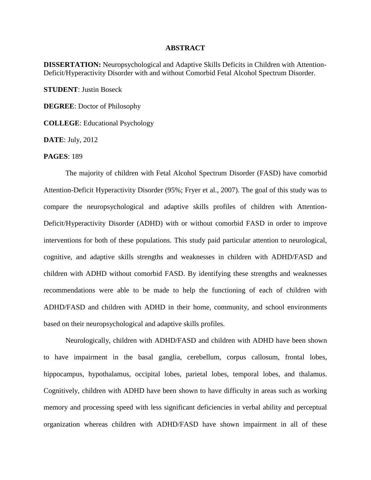## **ABSTRACT**

**DISSERTATION:** Neuropsychological and Adaptive Skills Deficits in Children with Attention-Deficit/Hyperactivity Disorder with and without Comorbid Fetal Alcohol Spectrum Disorder.

**STUDENT**: Justin Boseck

**DEGREE**: Doctor of Philosophy

**COLLEGE**: Educational Psychology

**DATE**: July, 2012

## **PAGES**: 189

The majority of children with Fetal Alcohol Spectrum Disorder (FASD) have comorbid Attention-Deficit Hyperactivity Disorder (95%; Fryer et al., 2007). The goal of this study was to compare the neuropsychological and adaptive skills profiles of children with Attention-Deficit/Hyperactivity Disorder (ADHD) with or without comorbid FASD in order to improve interventions for both of these populations. This study paid particular attention to neurological, cognitive, and adaptive skills strengths and weaknesses in children with ADHD/FASD and children with ADHD without comorbid FASD. By identifying these strengths and weaknesses recommendations were able to be made to help the functioning of each of children with ADHD/FASD and children with ADHD in their home, community, and school environments based on their neuropsychological and adaptive skills profiles.

Neurologically, children with ADHD/FASD and children with ADHD have been shown to have impairment in the basal ganglia, cerebellum, corpus callosum, frontal lobes, hippocampus, hypothalamus, occipital lobes, parietal lobes, temporal lobes, and thalamus. Cognitively, children with ADHD have been shown to have difficulty in areas such as working memory and processing speed with less significant deficiencies in verbal ability and perceptual organization whereas children with ADHD/FASD have shown impairment in all of these